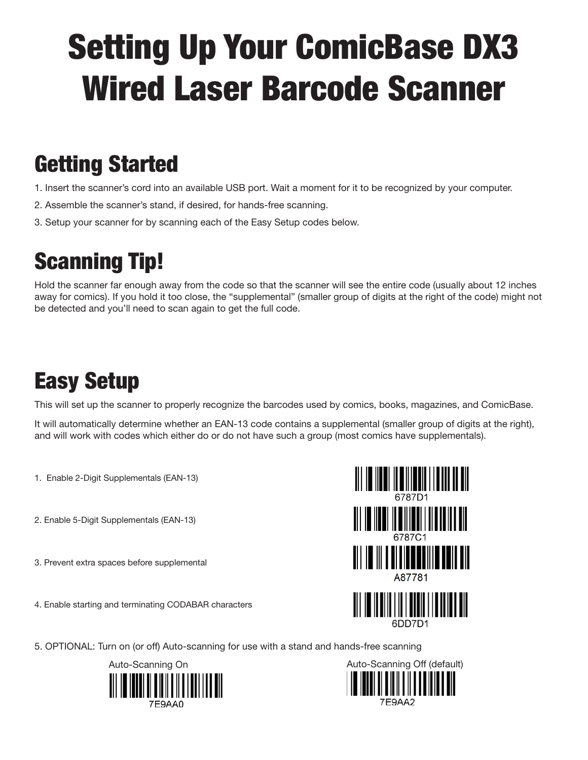# Setting Up Your ComicBase DX3 Wired Laser Barcode Scanner

### Getting Started

- 1. Insert the scanner's cord into an available USB port. Wait a moment for it to be recognized by your computer.
- 2. Assemble the scanner's stand, if desired, for hands-free scanning.
- 3. Setup your scanner for by scanning each of the Easy Setup codes below.

# Scanning Tip!

Hold the scanner far enough away from the code so that the scanner will see the entire code (usually about 12 inches away for comics). If you hold it too close, the "supplemental" (smaller group of digits at the right of the code) might not be detected and you'll need to scan again to get the full code.

### Easy Setup

This will set up the scanner to properly recognize the barcodes used by comics, books, magazines, and ComicBase.

It will automatically determine whether an EAN-13 code contains a supplemental (smaller group of digits at the right), and will work with codes which either do or do not have such a group (most comics have supplementals).

- 1. Enable 2-Digit Supplementals (EAN-13)
- 2. Enable 5-Digit Supplementals (EAN-13)
- 3. Prevent extra spaces before supplemental
- 4. Enable starting and terminating CODABAR characters



5. OPTIONAL: Turn on (or off) Auto-scanning for use with a stand and hands-free scanning